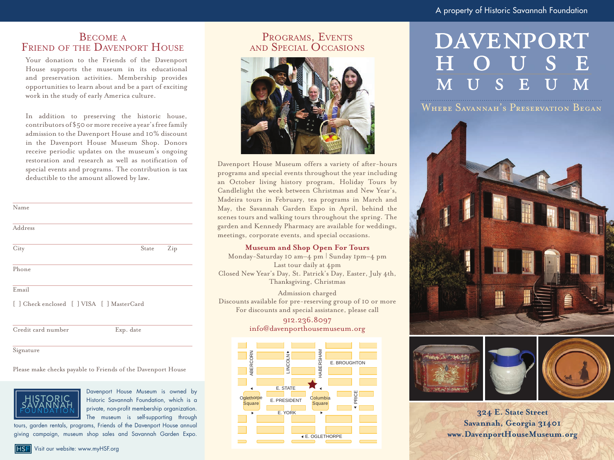## BECOME A<br>FRIEND OF THE DAVENPORT HOUSE

Your donation to the Friends of the Davenport House supports the museum in its educational and preservation activities. Membership provides opportunities to learn about and be a part of exciting work in the study of early America culture.

In addition to preserving the historic house, contributors of \$50 or more receive a year's free family admission to the Davenport House and 10% discount in the Davenport House Museum Shop. Donors receive periodic updates on the museum's ongoing restoration and research as well as notification of special events and programs. The contribution is tax deductible to the amount allowed by law.

| Name                                       |           |     |
|--------------------------------------------|-----------|-----|
| Address                                    |           |     |
| City                                       | State     | Zip |
| Phone                                      |           |     |
| Email                                      |           |     |
| [ ] Check enclosed [ ] VISA [ ] MasterCard |           |     |
| Credit card number                         | Exp. date |     |
| Signature                                  |           |     |

#### Please make checks payable to Friends of the Davenport House



E. STATE Davenport House Museum is owned by Historic Savannah Foundation, which is a private, non-profit membership organization. The museum is self-supporting through

tours, garden rentals, programs, Friends of the Davenport House annual giving campaign, museum shop sales and Savannah Garden Expo.

## Programs, Events and Special Occasions



Davenport House Museum offers a variety of after-hours programs and special events throughout the year including an October living history program, Holiday Tours by Candlelight the week between Christmas and New Year's, Madeira tours in February, tea programs in March and May, the Savannah Garden Expo in April, behind the scenes tours and walking tours throughout the spring. The garden and Kennedy Pharmacy are available for weddings, meetings, corporate events, and special occasions.

### **Museum and Shop Open For Tours**

Monday-Saturday 10 am–4 pm | Sunday 1pm–4 pm Last tour daily at 4pm Closed New Year's Day, St. Patrick's Day, Easter, July 4th, Thanksgiving, Christmas

Admission charged Discounts available for pre-reserving group of 10 or more For discounts and special assistance, please call

> 912.236.8097 info@davenporthousemuseum.org



# DAVENPORT

Where Savannah's Preservation Began







**324 E. State Street Savannah, Georgia 31401 www.DavenportHouseMuseum.org**